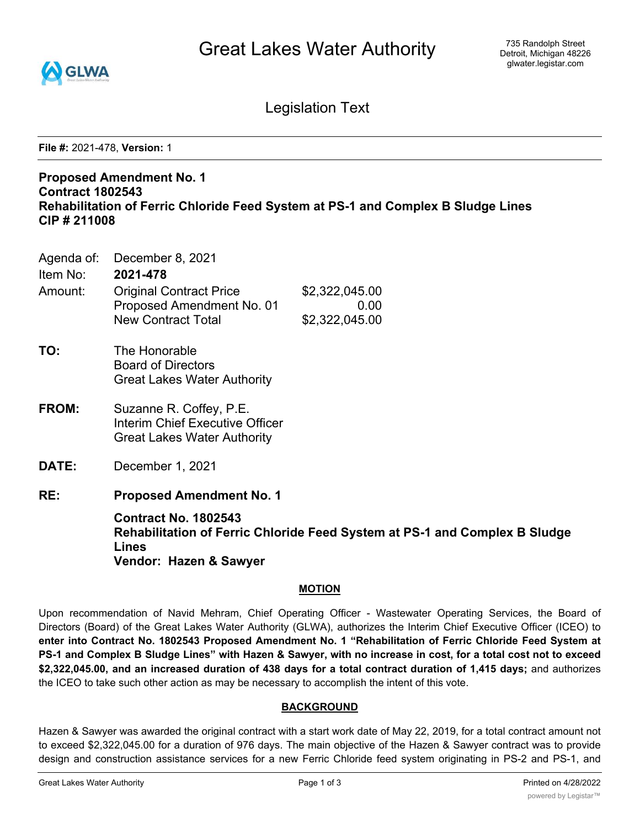

Legislation Text

**File #:** 2021-478, **Version:** 1

### **Proposed Amendment No. 1 Contract 1802543 Rehabilitation of Ferric Chloride Feed System at PS-1 and Complex B Sludge Lines CIP # 211008**

Agenda of: December 8, 2021

| Item No: | 2021-478                       |                |
|----------|--------------------------------|----------------|
| Amount:  | <b>Original Contract Price</b> | \$2,322,045.00 |
|          | Proposed Amendment No. 01      | 0.00           |
|          | <b>New Contract Total</b>      | \$2,322,045.00 |
|          |                                |                |

- **TO:** The Honorable Board of Directors Great Lakes Water Authority
- **FROM:** Suzanne R. Coffey, P.E. Interim Chief Executive Officer Great Lakes Water Authority
- **DATE:** December 1, 2021
- **RE: Proposed Amendment No. 1**

**Contract No. 1802543 Rehabilitation of Ferric Chloride Feed System at PS-1 and Complex B Sludge Lines Vendor: Hazen & Sawyer**

### **MOTION**

Upon recommendation of Navid Mehram, Chief Operating Officer - Wastewater Operating Services, the Board of Directors (Board) of the Great Lakes Water Authority (GLWA), authorizes the Interim Chief Executive Officer (ICEO) to **enter into Contract No. 1802543 Proposed Amendment No. 1 "Rehabilitation of Ferric Chloride Feed System at** PS-1 and Complex B Sludge Lines" with Hazen & Sawyer, with no increase in cost, for a total cost not to exceed **\$2,322,045.00, and an increased duration of 438 days for a total contract duration of 1,415 days;** and authorizes the ICEO to take such other action as may be necessary to accomplish the intent of this vote.

### **BACKGROUND**

Hazen & Sawyer was awarded the original contract with a start work date of May 22, 2019, for a total contract amount not to exceed \$2,322,045.00 for a duration of 976 days. The main objective of the Hazen & Sawyer contract was to provide design and construction assistance services for a new Ferric Chloride feed system originating in PS-2 and PS-1, and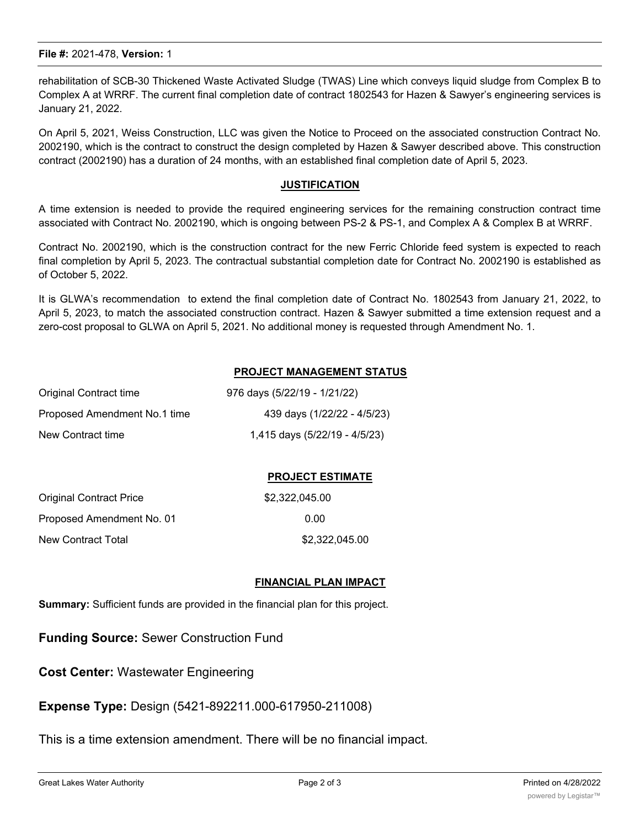rehabilitation of SCB-30 Thickened Waste Activated Sludge (TWAS) Line which conveys liquid sludge from Complex B to Complex A at WRRF. The current final completion date of contract 1802543 for Hazen & Sawyer's engineering services is January 21, 2022.

On April 5, 2021, Weiss Construction, LLC was given the Notice to Proceed on the associated construction Contract No. 2002190, which is the contract to construct the design completed by Hazen & Sawyer described above. This construction contract (2002190) has a duration of 24 months, with an established final completion date of April 5, 2023.

#### **JUSTIFICATION**

A time extension is needed to provide the required engineering services for the remaining construction contract time associated with Contract No. 2002190, which is ongoing between PS-2 & PS-1, and Complex A & Complex B at WRRF.

Contract No. 2002190, which is the construction contract for the new Ferric Chloride feed system is expected to reach final completion by April 5, 2023. The contractual substantial completion date for Contract No. 2002190 is established as of October 5, 2022.

It is GLWA's recommendation to extend the final completion date of Contract No. 1802543 from January 21, 2022, to April 5, 2023, to match the associated construction contract. Hazen & Sawyer submitted a time extension request and a zero-cost proposal to GLWA on April 5, 2021. No additional money is requested through Amendment No. 1.

### **PROJECT MANAGEMENT STATUS**

| Original Contract time       | 976 days (5/22/19 - 1/21/22)  |
|------------------------------|-------------------------------|
| Proposed Amendment No.1 time | 439 days (1/22/22 - 4/5/23)   |
| New Contract time            | 1,415 days (5/22/19 - 4/5/23) |

### **PROJECT ESTIMATE**

| <b>Original Contract Price</b> | \$2,322,045,00 |
|--------------------------------|----------------|
| Proposed Amendment No. 01      | 0.00           |
| New Contract Total             | \$2,322,045.00 |

#### **FINANCIAL PLAN IMPACT**

**Summary:** Sufficient funds are provided in the financial plan for this project.

**Funding Source:** Sewer Construction Fund

**Cost Center:** Wastewater Engineering

**Expense Type:** Design (5421-892211.000-617950-211008)

This is a time extension amendment. There will be no financial impact.